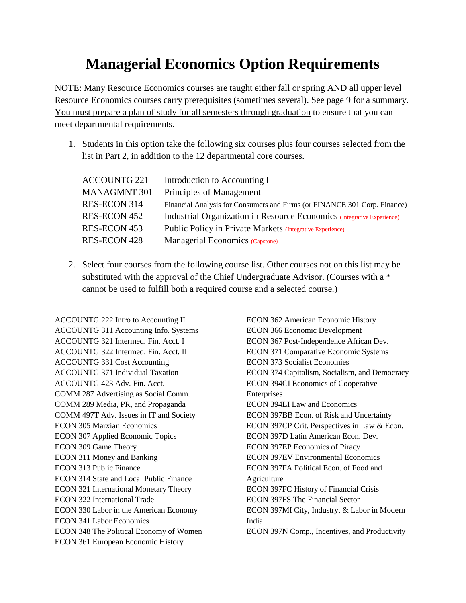## **Managerial Economics Option Requirements**

NOTE: Many Resource Economics courses are taught either fall or spring AND all upper level Resource Economics courses carry prerequisites (sometimes several). See page 9 for a summary. You must prepare a plan of study for all semesters through graduation to ensure that you can meet departmental requirements.

1. Students in this option take the following six courses plus four courses selected from the list in Part 2, in addition to the 12 departmental core courses.

| <b>ACCOUNTG 221</b> | Introduction to Accounting I                                              |
|---------------------|---------------------------------------------------------------------------|
| <b>MANAGMNT 301</b> | Principles of Management                                                  |
| RES-ECON 314        | Financial Analysis for Consumers and Firms (or FINANCE 301 Corp. Finance) |
| RES-ECON 452        | Industrial Organization in Resource Economics (Integrative Experience)    |
| RES-ECON 453        | Public Policy in Private Markets (Integrative Experience)                 |
| <b>RES-ECON 428</b> | Managerial Economics (Capstone)                                           |

2. Select four courses from the following course list. Other courses not on this list may be substituted with the approval of the Chief Undergraduate Advisor. (Courses with a \* cannot be used to fulfill both a required course and a selected course.)

ACCOUNTG 222 Intro to Accounting II ACCOUNTG 311 Accounting Info. Systems ACCOUNTG 321 Intermed. Fin. Acct. I ACCOUNTG 322 Intermed. Fin. Acct. II ACCOUNTG 331 Cost Accounting ACCOUNTG 371 Individual Taxation ACCOUNTG 423 Adv. Fin. Acct. COMM 287 Advertising as Social Comm. COMM 289 Media, PR, and Propaganda COMM 497T Adv. Issues in IT and Society ECON 305 Marxian Economics ECON 307 Applied Economic Topics ECON 309 Game Theory ECON 311 Money and Banking ECON 313 Public Finance ECON 314 State and Local Public Finance ECON 321 International Monetary Theory ECON 322 International Trade ECON 330 Labor in the American Economy ECON 341 Labor Economics ECON 348 The Political Economy of Women ECON 361 European Economic History

ECON 362 American Economic History ECON 366 Economic Development ECON 367 Post-Independence African Dev. ECON 371 Comparative Economic Systems ECON 373 Socialist Economies ECON 374 Capitalism, Socialism, and Democracy ECON 394CI Economics of Cooperative Enterprises ECON 394LI Law and Economics ECON 397BB Econ. of Risk and Uncertainty ECON 397CP Crit. Perspectives in Law & Econ. ECON 397D Latin American Econ. Dev. ECON 397EP Economics of Piracy ECON 397EV Environmental Economics ECON 397FA Political Econ. of Food and **Agriculture** ECON 397FC History of Financial Crisis ECON 397FS The Financial Sector ECON 397MI City, Industry, & Labor in Modern India ECON 397N Comp., Incentives, and Productivity